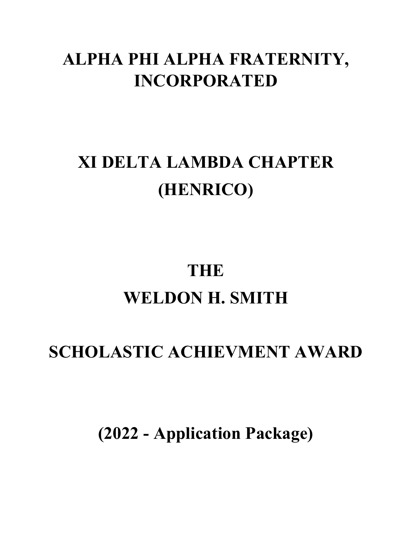## **ALPHA PHI ALPHA FRATERNITY, INCORPORATED**

# **XI DELTA LAMBDA CHAPTER (HENRICO)**

# **THE WELDON H. SMITH**

## **SCHOLASTIC ACHIEVMENT AWARD**

**(2022 - Application Package)**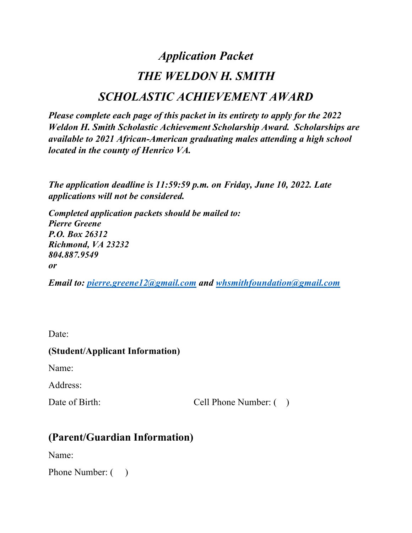### *Application Packet THE WELDON H. SMITH SCHOLASTIC ACHIEVEMENT AWARD*

*Please complete each page of this packet in its entirety to apply for the 2022 Weldon H. Smith Scholastic Achievement Scholarship Award. Scholarships are available to 2021 African-American graduating males attending a high school located in the county of Henrico VA.*

*The application deadline is 11:59:59 p.m. on Friday, June 10, 2022. Late applications will not be considered.* 

*Completed application packets should be mailed to: Pierre Greene P.O. Box 26312 Richmond, VA 23232 804.887.9549 or*

*Email to: pierre.greene12@gmail.com and whsmithfoundation@gmail.com*

Date:

#### **(Student/Applicant Information)**

Name:

Address:

Date of Birth: Cell Phone Number: ( )

### **(Parent/Guardian Information)**

Name:

Phone Number:  $($ )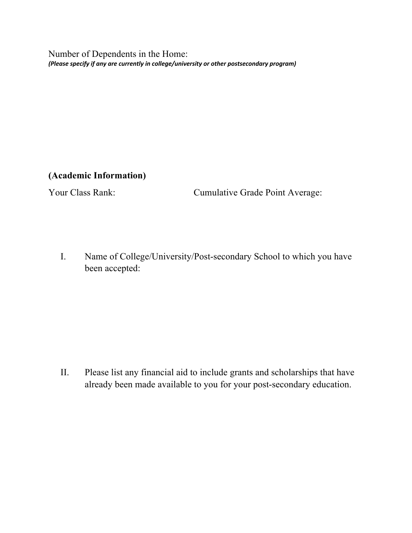Number of Dependents in the Home: *(Please specify if any are currently in college/university or other postsecondary program)*

**(Academic Information)**

Your Class Rank: Cumulative Grade Point Average:

I. Name of College/University/Post-secondary School to which you have been accepted:

II. Please list any financial aid to include grants and scholarships that have already been made available to you for your post-secondary education.